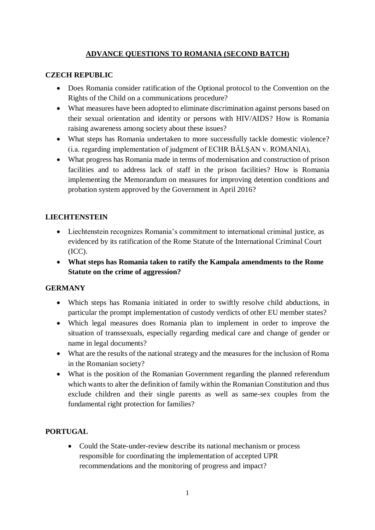# **ADVANCE QUESTIONS TO ROMANIA (SECOND BATCH)**

### **CZECH REPUBLIC**

- Does Romania consider ratification of the Optional protocol to the Convention on the Rights of the Child on a communications procedure?
- What measures have been adopted to eliminate discrimination against persons based on their sexual orientation and identity or persons with HIV/AIDS? How is Romania raising awareness among society about these issues?
- What steps has Romania undertaken to more successfully tackle domestic violence? (i.a. regarding implementation of judgment of ECHR BĂLȘAN v. ROMANIA),
- What progress has Romania made in terms of modernisation and construction of prison facilities and to address lack of staff in the prison facilities? How is Romania implementing the Memorandum on measures for improving detention conditions and probation system approved by the Government in April 2016?

## **LIECHTENSTEIN**

- Liechtenstein recognizes Romania's commitment to international criminal justice, as evidenced by its ratification of the Rome Statute of the International Criminal Court (ICC).
- **What steps has Romania taken to ratify the Kampala amendments to the Rome Statute on the crime of aggression?**

### **GERMANY**

- Which steps has Romania initiated in order to swiftly resolve child abductions, in particular the prompt implementation of custody verdicts of other EU member states?
- Which legal measures does Romania plan to implement in order to improve the situation of transsexuals, especially regarding medical care and change of gender or name in legal documents?
- What are the results of the national strategy and the measures for the inclusion of Roma in the Romanian society?
- What is the position of the Romanian Government regarding the planned referendum which wants to alter the definition of family within the Romanian Constitution and thus exclude children and their single parents as well as same-sex couples from the fundamental right protection for families?

### **PORTUGAL**

• Could the State-under-review describe its national mechanism or process responsible for coordinating the implementation of accepted UPR recommendations and the monitoring of progress and impact?